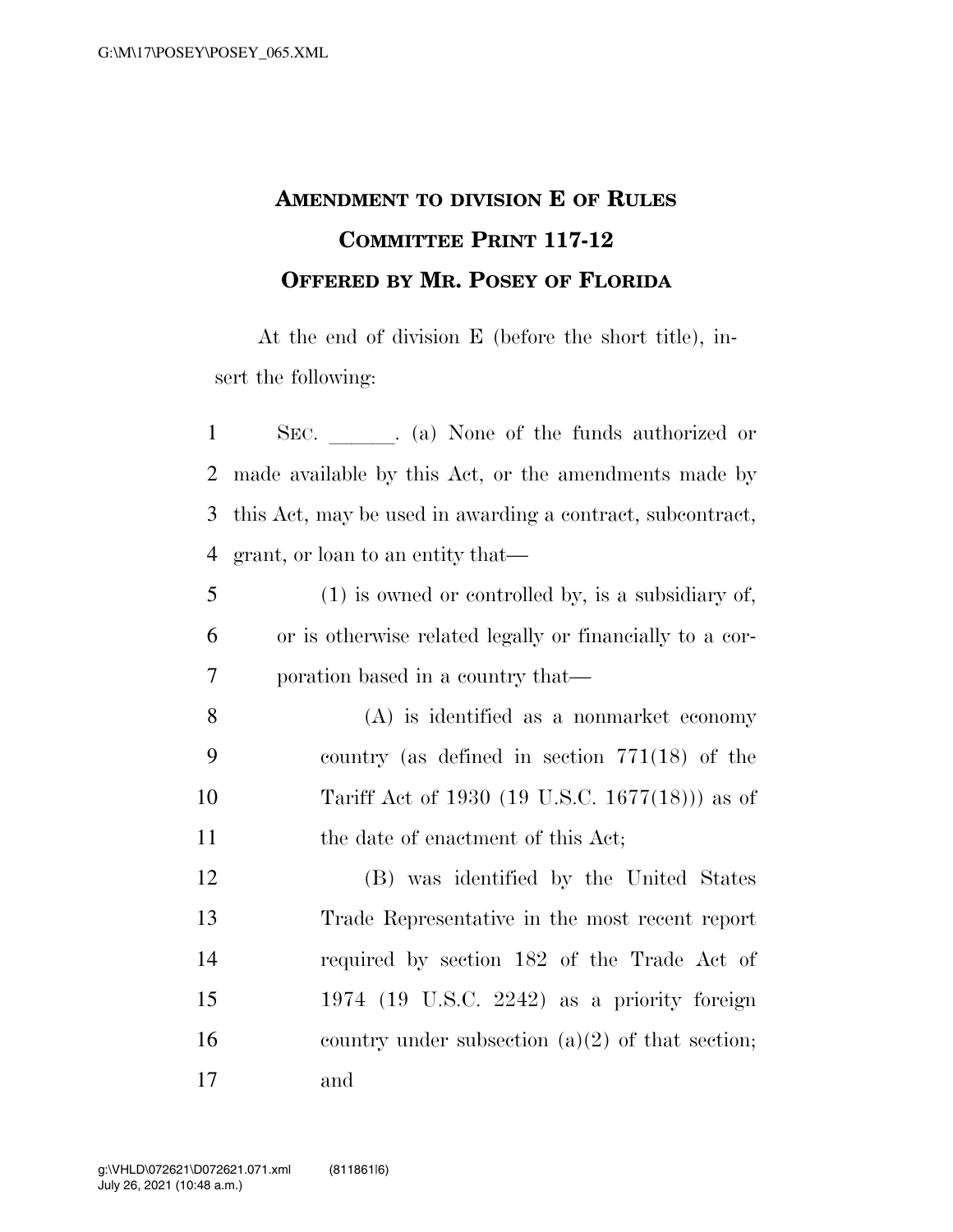## **AMENDMENT TO DIVISION E OF RULES COMMITTEE PRINT 117-12 OFFERED BY MR. POSEY OF FLORIDA**

At the end of division E (before the short title), insert the following:

| $\mathbf{1}$   | SEC. (a) None of the funds authorized or                   |                                                      |  |  |
|----------------|------------------------------------------------------------|------------------------------------------------------|--|--|
| $\overline{2}$ | made available by this Act, or the amendments made by      |                                                      |  |  |
| 3              | this Act, may be used in awarding a contract, subcontract, |                                                      |  |  |
| $\overline{4}$ | grant, or loan to an entity that—                          |                                                      |  |  |
| 5              |                                                            | $(1)$ is owned or controlled by, is a subsidiary of, |  |  |
| 6              | or is otherwise related legally or financially to a cor-   |                                                      |  |  |
| 7              | poration based in a country that—                          |                                                      |  |  |
| 8              |                                                            | $(A)$ is identified as a nonmarket economy           |  |  |
| 9              |                                                            | country (as defined in section $771(18)$ of the      |  |  |
| 10             |                                                            | Tariff Act of 1930 (19 U.S.C. 1677(18))) as of       |  |  |
| 11             |                                                            | the date of enactment of this Act;                   |  |  |
| 12             |                                                            | (B) was identified by the United States              |  |  |
| 13             |                                                            | Trade Representative in the most recent report       |  |  |
| 14             |                                                            | required by section 182 of the Trade Act of          |  |  |
| 15             |                                                            | 1974 (19 U.S.C. 2242) as a priority foreign          |  |  |
| 16             |                                                            | country under subsection $(a)(2)$ of that section;   |  |  |
| 17             | and                                                        |                                                      |  |  |